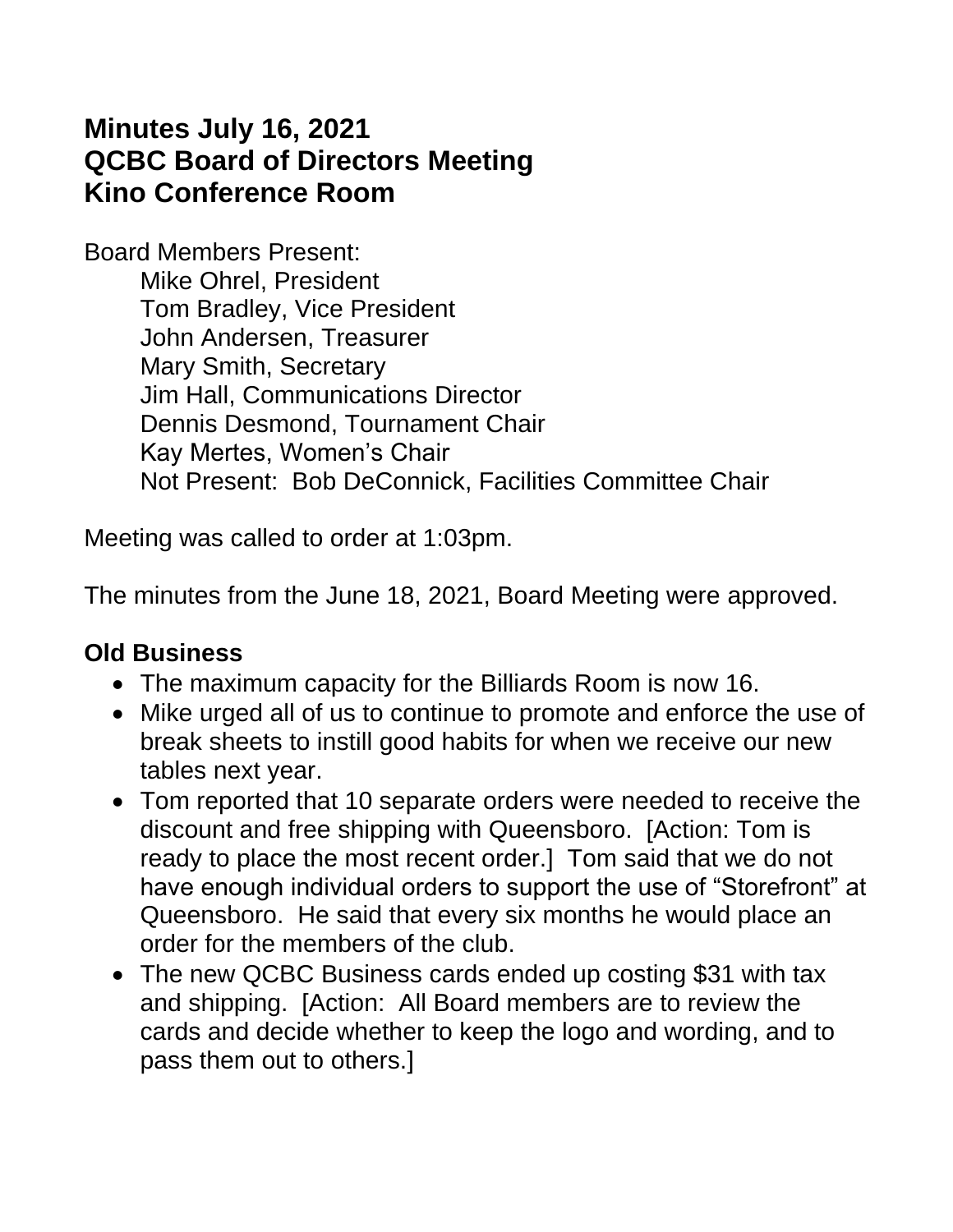# **Minutes July 16, 2021 QCBC Board of Directors Meeting Kino Conference Room**

Board Members Present:

Mike Ohrel, President Tom Bradley, Vice President John Andersen, Treasurer Mary Smith, Secretary Jim Hall, Communications Director Dennis Desmond, Tournament Chair Kay Mertes, Women's Chair Not Present: Bob DeConnick, Facilities Committee Chair

Meeting was called to order at 1:03pm.

The minutes from the June 18, 2021, Board Meeting were approved.

### **Old Business**

- The maximum capacity for the Billiards Room is now 16.
- Mike urged all of us to continue to promote and enforce the use of break sheets to instill good habits for when we receive our new tables next year.
- Tom reported that 10 separate orders were needed to receive the discount and free shipping with Queensboro. [Action: Tom is ready to place the most recent order.] Tom said that we do not have enough individual orders to support the use of "Storefront" at Queensboro. He said that every six months he would place an order for the members of the club.
- The new QCBC Business cards ended up costing \$31 with tax and shipping. [Action: All Board members are to review the cards and decide whether to keep the logo and wording, and to pass them out to others.]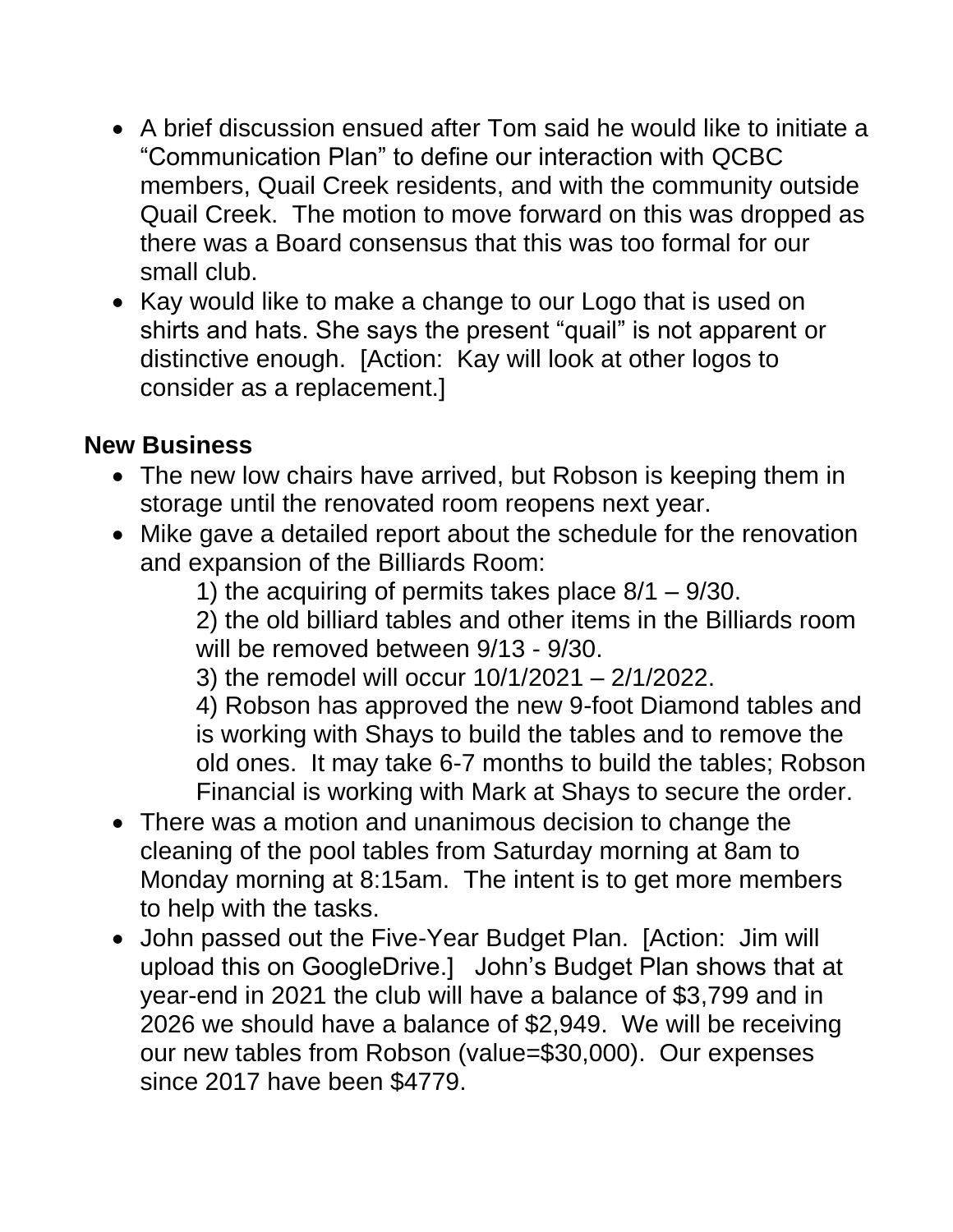- A brief discussion ensued after Tom said he would like to initiate a "Communication Plan" to define our interaction with QCBC members, Quail Creek residents, and with the community outside Quail Creek. The motion to move forward on this was dropped as there was a Board consensus that this was too formal for our small club.
- Kay would like to make a change to our Logo that is used on shirts and hats. She says the present "quail" is not apparent or distinctive enough. [Action: Kay will look at other logos to consider as a replacement.]

#### **New Business**

- The new low chairs have arrived, but Robson is keeping them in storage until the renovated room reopens next year.
- Mike gave a detailed report about the schedule for the renovation and expansion of the Billiards Room:

1) the acquiring of permits takes place 8/1 – 9/30.

2) the old billiard tables and other items in the Billiards room will be removed between 9/13 - 9/30.

3) the remodel will occur 10/1/2021 – 2/1/2022.

4) Robson has approved the new 9-foot Diamond tables and is working with Shays to build the tables and to remove the old ones. It may take 6-7 months to build the tables; Robson Financial is working with Mark at Shays to secure the order.

- There was a motion and unanimous decision to change the cleaning of the pool tables from Saturday morning at 8am to Monday morning at 8:15am. The intent is to get more members to help with the tasks.
- John passed out the Five-Year Budget Plan. [Action: Jim will upload this on GoogleDrive.] John's Budget Plan shows that at year-end in 2021 the club will have a balance of \$3,799 and in 2026 we should have a balance of \$2,949. We will be receiving our new tables from Robson (value=\$30,000). Our expenses since 2017 have been \$4779.